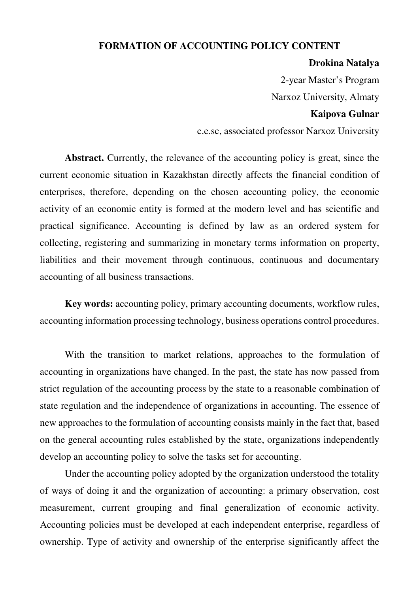## **FORMATION OF ACCOUNTING POLICY CONTENT**

## **Drokina Natalya**

2-year Master's Program

Narxoz University, Almaty

## **Kaipova Gulnar**

c.e.sc, associated professor Narxoz University

**Abstract.** Currently, the relevance of the accounting policy is great, since the current economic situation in Kazakhstan directly affects the financial condition of enterprises, therefore, depending on the chosen accounting policy, the economic activity of an economic entity is formed at the modern level and has scientific and practical significance. Accounting is defined by law as an ordered system for collecting, registering and summarizing in monetary terms information on property, liabilities and their movement through continuous, continuous and documentary accounting of all business transactions.

**Key words:** accounting policy, primary accounting documents, workflow rules, accounting information processing technology, business operations control procedures.

With the transition to market relations, approaches to the formulation of accounting in organizations have changed. In the past, the state has now passed from strict regulation of the accounting process by the state to a reasonable combination of state regulation and the independence of organizations in accounting. The essence of new approaches to the formulation of accounting consists mainly in the fact that, based on the general accounting rules established by the state, organizations independently develop an accounting policy to solve the tasks set for accounting.

Under the accounting policy adopted by the organization understood the totality of ways of doing it and the organization of accounting: a primary observation, cost measurement, current grouping and final generalization of economic activity. Accounting policies must be developed at each independent enterprise, regardless of ownership. Type of activity and ownership of the enterprise significantly affect the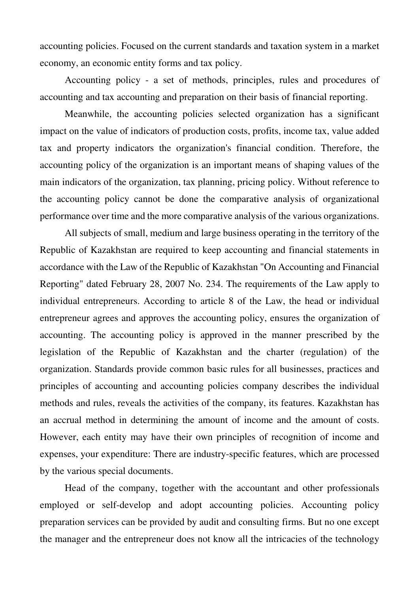accounting policies. Focused on the current standards and taxation system in a market economy, an economic entity forms and tax policy.

Accounting policy - a set of methods, principles, rules and procedures of accounting and tax accounting and preparation on their basis of financial reporting.

Meanwhile, the accounting policies selected organization has a significant impact on the value of indicators of production costs, profits, income tax, value added tax and property indicators the organization's financial condition. Therefore, the accounting policy of the organization is an important means of shaping values of the main indicators of the organization, tax planning, pricing policy. Without reference to the accounting policy cannot be done the comparative analysis of organizational performance over time and the more comparative analysis of the various organizations.

All subjects of small, medium and large business operating in the territory of the Republic of Kazakhstan are required to keep accounting and financial statements in accordance with the Law of the Republic of Kazakhstan "On Accounting and Financial Reporting" dated February 28, 2007 No. 234. The requirements of the Law apply to individual entrepreneurs. According to article 8 of the Law, the head or individual entrepreneur agrees and approves the accounting policy, ensures the organization of accounting. The accounting policy is approved in the manner prescribed by the legislation of the Republic of Kazakhstan and the charter (regulation) of the organization. Standards provide common basic rules for all businesses, practices and principles of accounting and accounting policies company describes the individual methods and rules, reveals the activities of the company, its features. Kazakhstan has an accrual method in determining the amount of income and the amount of costs. However, each entity may have their own principles of recognition of income and expenses, your expenditure: There are industry-specific features, which are processed by the various special documents.

Head of the company, together with the accountant and other professionals employed or self-develop and adopt accounting policies. Accounting policy preparation services can be provided by audit and consulting firms. But no one except the manager and the entrepreneur does not know all the intricacies of the technology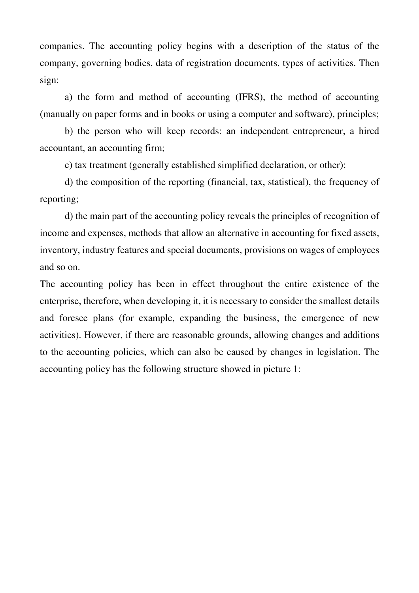companies. The accounting policy begins with a description of the status of the company, governing bodies, data of registration documents, types of activities. Then sign:

a) the form and method of accounting (IFRS), the method of accounting (manually on paper forms and in books or using a computer and software), principles;

b) the person who will keep records: an independent entrepreneur, a hired accountant, an accounting firm;

c) tax treatment (generally established simplified declaration, or other);

d) the composition of the reporting (financial, tax, statistical), the frequency of reporting;

d) the main part of the accounting policy reveals the principles of recognition of income and expenses, methods that allow an alternative in accounting for fixed assets, inventory, industry features and special documents, provisions on wages of employees and so on.

The accounting policy has been in effect throughout the entire existence of the enterprise, therefore, when developing it, it is necessary to consider the smallest details and foresee plans (for example, expanding the business, the emergence of new activities). However, if there are reasonable grounds, allowing changes and additions to the accounting policies, which can also be caused by changes in legislation. The accounting policy has the following structure showed in picture 1: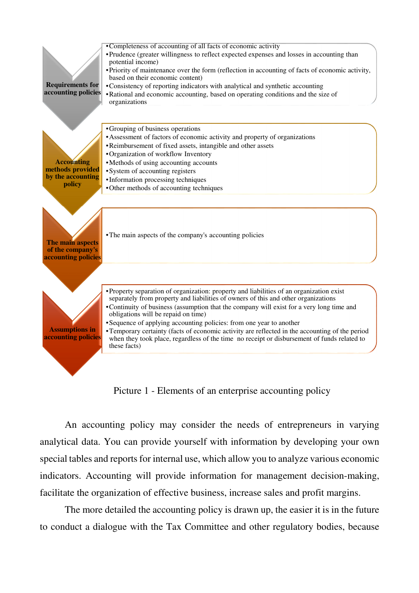

Picture 1 - Elements of an enterprise accounting policy

An accounting policy may consider the needs of entrepreneurs in varying analytical data. You can provide yourself with information by developing your own special tables and reports for internal use, which allow you to analyze various economic indicators. Accounting will provide information for management decision-making, facilitate the organization of effective business, increase sales and profit margins.

The more detailed the accounting policy is drawn up, the easier it is in the future to conduct a dialogue with the Tax Committee and other regulatory bodies, because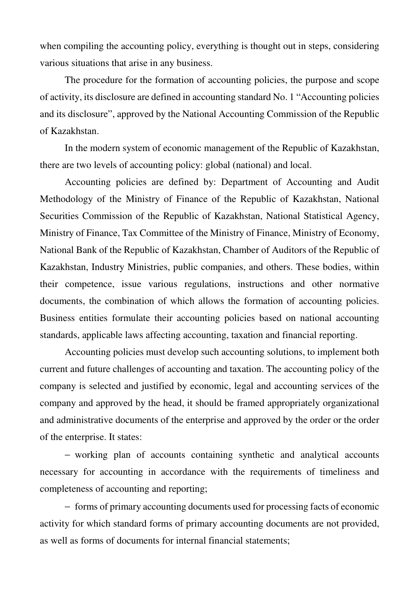when compiling the accounting policy, everything is thought out in steps, considering various situations that arise in any business.

The procedure for the formation of accounting policies, the purpose and scope of activity, its disclosure are defined in accounting standard No. 1 "Accounting policies and its disclosure", approved by the National Accounting Commission of the Republic of Kazakhstan.

In the modern system of economic management of the Republic of Kazakhstan, there are two levels of accounting policy: global (national) and local.

Accounting policies are defined by: Department of Accounting and Audit Methodology of the Ministry of Finance of the Republic of Kazakhstan, National Securities Commission of the Republic of Kazakhstan, National Statistical Agency, Ministry of Finance, Tax Committee of the Ministry of Finance, Ministry of Economy, National Bank of the Republic of Kazakhstan, Chamber of Auditors of the Republic of Kazakhstan, Industry Ministries, public companies, and others. These bodies, within their competence, issue various regulations, instructions and other normative documents, the combination of which allows the formation of accounting policies. Business entities formulate their accounting policies based on national accounting standards, applicable laws affecting accounting, taxation and financial reporting.

Accounting policies must develop such accounting solutions, to implement both current and future challenges of accounting and taxation. The accounting policy of the company is selected and justified by economic, legal and accounting services of the company and approved by the head, it should be framed appropriately organizational and administrative documents of the enterprise and approved by the order or the order of the enterprise. It states:

− working plan of accounts containing synthetic and analytical accounts necessary for accounting in accordance with the requirements of timeliness and completeness of accounting and reporting;

− forms of primary accounting documents used for processing facts of economic activity for which standard forms of primary accounting documents are not provided, as well as forms of documents for internal financial statements;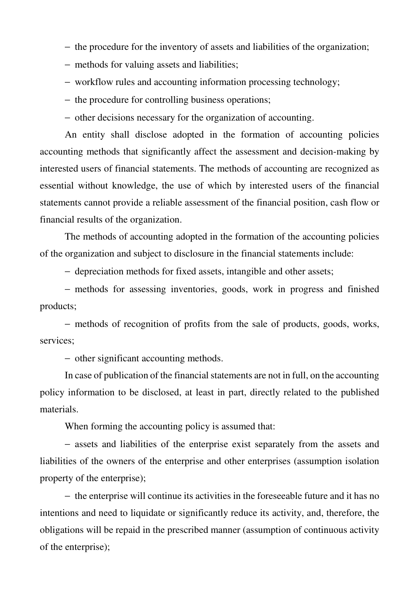- − the procedure for the inventory of assets and liabilities of the organization;
- − methods for valuing assets and liabilities;
- − workflow rules and accounting information processing technology;
- − the procedure for controlling business operations;
- − other decisions necessary for the organization of accounting.

An entity shall disclose adopted in the formation of accounting policies accounting methods that significantly affect the assessment and decision-making by interested users of financial statements. The methods of accounting are recognized as essential without knowledge, the use of which by interested users of the financial statements cannot provide a reliable assessment of the financial position, cash flow or financial results of the organization.

The methods of accounting adopted in the formation of the accounting policies of the organization and subject to disclosure in the financial statements include:

− depreciation methods for fixed assets, intangible and other assets;

− methods for assessing inventories, goods, work in progress and finished products;

− methods of recognition of profits from the sale of products, goods, works, services;

− other significant accounting methods.

In case of publication of the financial statements are not in full, on the accounting policy information to be disclosed, at least in part, directly related to the published materials.

When forming the accounting policy is assumed that:

− assets and liabilities of the enterprise exist separately from the assets and liabilities of the owners of the enterprise and other enterprises (assumption isolation property of the enterprise);

− the enterprise will continue its activities in the foreseeable future and it has no intentions and need to liquidate or significantly reduce its activity, and, therefore, the obligations will be repaid in the prescribed manner (assumption of continuous activity of the enterprise);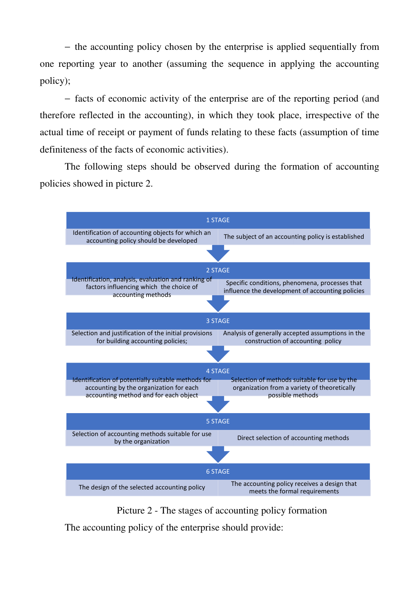− the accounting policy chosen by the enterprise is applied sequentially from one reporting year to another (assuming the sequence in applying the accounting policy);

− facts of economic activity of the enterprise are of the reporting period (and therefore reflected in the accounting), in which they took place, irrespective of the actual time of receipt or payment of funds relating to these facts (assumption of time definiteness of the facts of economic activities).

The following steps should be observed during the formation of accounting policies showed in picture 2.



Picture 2 - The stages of accounting policy formation

The accounting policy of the enterprise should provide: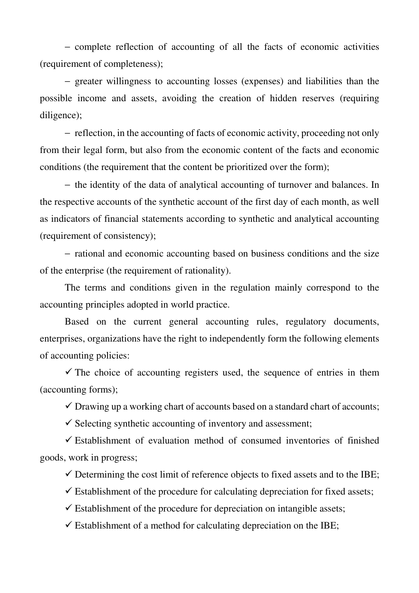− complete reflection of accounting of all the facts of economic activities (requirement of completeness);

− greater willingness to accounting losses (expenses) and liabilities than the possible income and assets, avoiding the creation of hidden reserves (requiring diligence);

− reflection, in the accounting of facts of economic activity, proceeding not only from their legal form, but also from the economic content of the facts and economic conditions (the requirement that the content be prioritized over the form);

− the identity of the data of analytical accounting of turnover and balances. In the respective accounts of the synthetic account of the first day of each month, as well as indicators of financial statements according to synthetic and analytical accounting (requirement of consistency);

− rational and economic accounting based on business conditions and the size of the enterprise (the requirement of rationality).

The terms and conditions given in the regulation mainly correspond to the accounting principles adopted in world practice.

Based on the current general accounting rules, regulatory documents, enterprises, organizations have the right to independently form the following elements of accounting policies:

 $\checkmark$  The choice of accounting registers used, the sequence of entries in them (accounting forms);

 $\checkmark$  Drawing up a working chart of accounts based on a standard chart of accounts;

 $\checkmark$  Selecting synthetic accounting of inventory and assessment;

 $\checkmark$  Establishment of evaluation method of consumed inventories of finished goods, work in progress;

 $\checkmark$  Determining the cost limit of reference objects to fixed assets and to the IBE;

 $\checkmark$  Establishment of the procedure for calculating depreciation for fixed assets;

 $\checkmark$  Establishment of the procedure for depreciation on intangible assets;

 $\checkmark$  Establishment of a method for calculating depreciation on the IBE;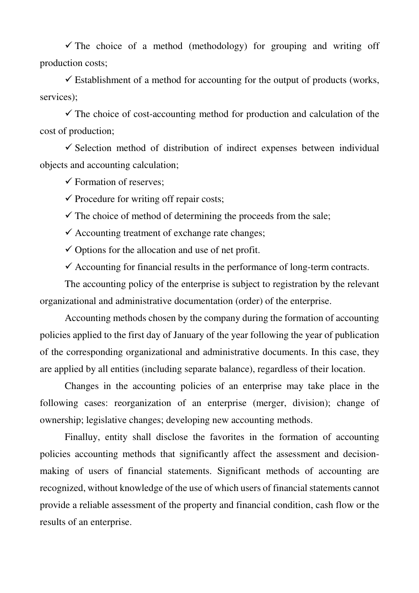$\checkmark$  The choice of a method (methodology) for grouping and writing off production costs;

 $\checkmark$  Establishment of a method for accounting for the output of products (works, services);

 $\checkmark$  The choice of cost-accounting method for production and calculation of the cost of production;

 $\checkmark$  Selection method of distribution of indirect expenses between individual objects and accounting calculation;

 $\checkmark$  Formation of reserves:

 $\checkmark$  Procedure for writing off repair costs;

 $\checkmark$  The choice of method of determining the proceeds from the sale;

 $\checkmark$  Accounting treatment of exchange rate changes;

 $\checkmark$  Options for the allocation and use of net profit.

 $\checkmark$  Accounting for financial results in the performance of long-term contracts.

The accounting policy of the enterprise is subject to registration by the relevant organizational and administrative documentation (order) of the enterprise.

Accounting methods chosen by the company during the formation of accounting policies applied to the first day of January of the year following the year of publication of the corresponding organizational and administrative documents. In this case, they are applied by all entities (including separate balance), regardless of their location.

Changes in the accounting policies of an enterprise may take place in the following cases: reorganization of an enterprise (merger, division); change of ownership; legislative changes; developing new accounting methods.

Finalluy, entity shall disclose the favorites in the formation of accounting policies accounting methods that significantly affect the assessment and decisionmaking of users of financial statements. Significant methods of accounting are recognized, without knowledge of the use of which users of financial statements cannot provide a reliable assessment of the property and financial condition, cash flow or the results of an enterprise.